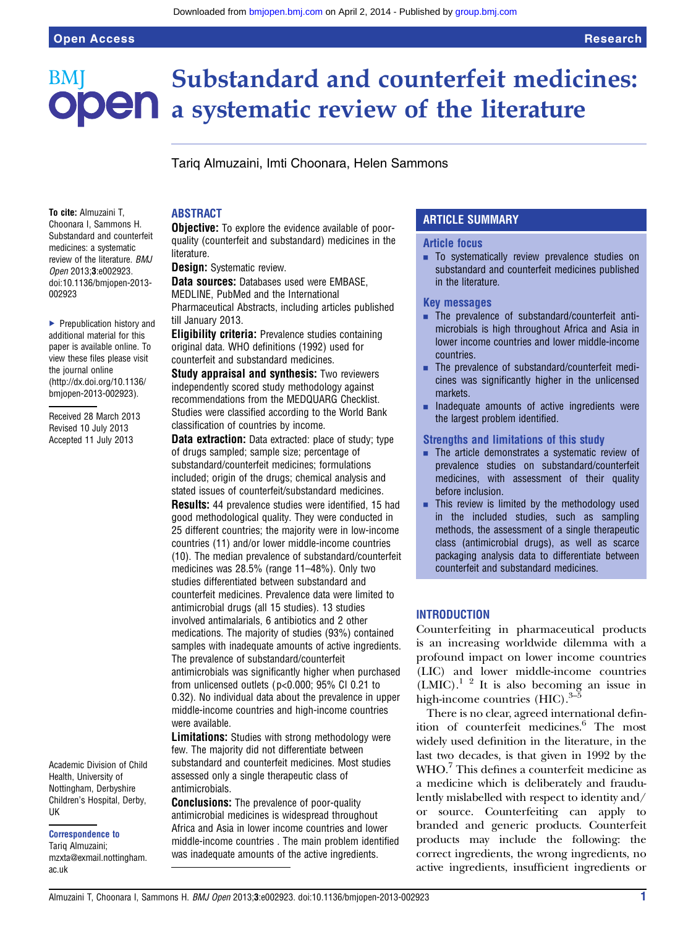# Substandard and counterfeit medicines: BM **ODEN** a systematic review of the literature

Tariq Almuzaini, Imti Choonara, Helen Sammons

#### To cite: Almuzaini T, Choonara I, Sammons H. Substandard and counterfeit medicines: a systematic review of the literature. BMJ Open 2013;3:e002923. doi:10.1136/bmjopen-2013- 002923

▶ Prepublication history and additional material for this paper is available online. To view these files please visit the journal online [\(http://dx.doi.org/10.1136/](http://dx.doi.org/10.1136/bmjopen-2013-002923) [bmjopen-2013-002923](http://dx.doi.org/10.1136/bmjopen-2013-002923)).

Received 28 March 2013 Revised 10 July 2013 Accepted 11 July 2013

Academic Division of Child Health, University of Nottingham, Derbyshire Children's Hospital, Derby, UK

Correspondence to

Tariq Almuzaini; mzxta@exmail.nottingham. ac.uk

# ABSTRACT

**Objective:** To explore the evidence available of poorquality (counterfeit and substandard) medicines in the literature.

Design: Systematic review.

Data sources: Databases used were EMBASE, MEDLINE, PubMed and the International Pharmaceutical Abstracts, including articles published till January 2013.

Eligibility criteria: Prevalence studies containing original data. WHO definitions (1992) used for counterfeit and substandard medicines.

**Study appraisal and synthesis:** Two reviewers independently scored study methodology against recommendations from the MEDQUARG Checklist. Studies were classified according to the World Bank classification of countries by income.

**Data extraction:** Data extracted: place of study; type of drugs sampled; sample size; percentage of substandard/counterfeit medicines; formulations included; origin of the drugs; chemical analysis and stated issues of counterfeit/substandard medicines. Results: 44 prevalence studies were identified, 15 had good methodological quality. They were conducted in 25 different countries; the majority were in low-income countries (11) and/or lower middle-income countries (10). The median prevalence of substandard/counterfeit medicines was 28.5% (range 11–48%). Only two studies differentiated between substandard and counterfeit medicines. Prevalence data were limited to antimicrobial drugs (all 15 studies). 13 studies involved antimalarials, 6 antibiotics and 2 other medications. The majority of studies (93%) contained samples with inadequate amounts of active ingredients. The prevalence of substandard/counterfeit antimicrobials was significantly higher when purchased from unlicensed outlets ( p<0.000; 95% CI 0.21 to 0.32). No individual data about the prevalence in upper middle-income countries and high-income countries were available.

**Limitations:** Studies with strong methodology were few. The majority did not differentiate between substandard and counterfeit medicines. Most studies assessed only a single therapeutic class of antimicrobials.

**Conclusions:** The prevalence of poor-quality antimicrobial medicines is widespread throughout Africa and Asia in lower income countries and lower middle-income countries . The main problem identified was inadequate amounts of the active ingredients.

# ARTICLE SUMMARY

# Article focus

**To systematically review prevalence studies on** substandard and counterfeit medicines published in the literature.

# Key messages

- **•** The prevalence of substandard/counterfeit antimicrobials is high throughout Africa and Asia in lower income countries and lower middle-income countries.
- The prevalence of substandard/counterfeit medicines was significantly higher in the unlicensed markets.
- $\blacksquare$  Inadequate amounts of active ingredients were the largest problem identified.

# Strengths and limitations of this study

- **The article demonstrates a systematic review of** prevalence studies on substandard/counterfeit medicines, with assessment of their quality before inclusion.
- $\blacksquare$  This review is limited by the methodology used in the included studies, such as sampling methods, the assessment of a single therapeutic class (antimicrobial drugs), as well as scarce packaging analysis data to differentiate between counterfeit and substandard medicines.

# INTRODUCTION

Counterfeiting in pharmaceutical products is an increasing worldwide dilemma with a profound impact on lower income countries (LIC) and lower middle-income countries  $(LMIC).$ <sup>1 2</sup> It is also becoming an issue in high-income countries  $(HIC).$ <sup>3–5</sup>

There is no clear, agreed international definition of counterfeit medicines.<sup>6</sup> The most widely used definition in the literature, in the last two decades, is that given in 1992 by the WHO.<sup>7</sup> This defines a counterfeit medicine as a medicine which is deliberately and fraudulently mislabelled with respect to identity and/ or source. Counterfeiting can apply to branded and generic products. Counterfeit products may include the following: the correct ingredients, the wrong ingredients, no active ingredients, insufficient ingredients or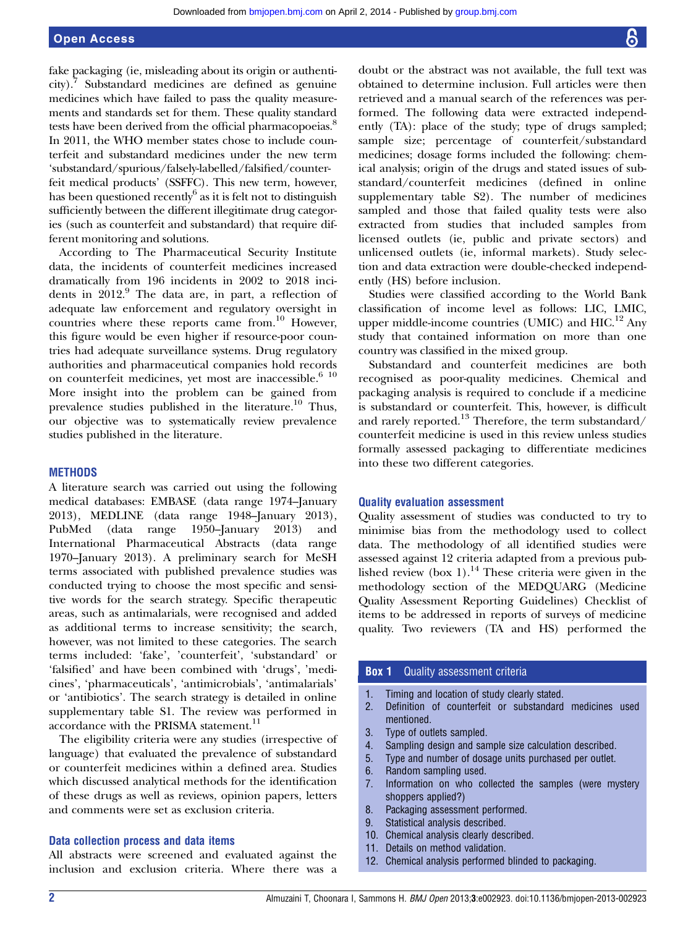fake packaging (ie, misleading about its origin or authenticity).7 Substandard medicines are defined as genuine medicines which have failed to pass the quality measurements and standards set for them. These quality standard tests have been derived from the official pharmacopoeias.<sup>8</sup> In 2011, the WHO member states chose to include counterfeit and substandard medicines under the new term 'substandard/spurious/falsely-labelled/falsified/counterfeit medical products' (SSFFC). This new term, however, has been questioned recently<sup>6</sup> as it is felt not to distinguish sufficiently between the different illegitimate drug categories (such as counterfeit and substandard) that require different monitoring and solutions.

According to The Pharmaceutical Security Institute data, the incidents of counterfeit medicines increased dramatically from 196 incidents in 2002 to 2018 incidents in  $2012<sup>9</sup>$ . The data are, in part, a reflection of adequate law enforcement and regulatory oversight in countries where these reports came from.<sup>10</sup> However, this figure would be even higher if resource-poor countries had adequate surveillance systems. Drug regulatory authorities and pharmaceutical companies hold records on counterfeit medicines, yet most are inaccessible.<sup>6 10</sup> More insight into the problem can be gained from prevalence studies published in the literature.<sup>10</sup> Thus, our objective was to systematically review prevalence studies published in the literature.

### **METHODS**

A literature search was carried out using the following medical databases: EMBASE (data range 1974–January 2013), MEDLINE (data range 1948–January 2013), PubMed (data range 1950–January 2013) and International Pharmaceutical Abstracts (data range 1970–January 2013). A preliminary search for MeSH terms associated with published prevalence studies was conducted trying to choose the most specific and sensitive words for the search strategy. Specific therapeutic areas, such as antimalarials, were recognised and added as additional terms to increase sensitivity; the search, however, was not limited to these categories. The search terms included: 'fake', 'counterfeit', 'substandard' or 'falsified' and have been combined with 'drugs', 'medicines', 'pharmaceuticals', 'antimicrobials', 'antimalarials' or 'antibiotics'. The search strategy is detailed in online [supplementary table](http://bmjopen.bmj.com/lookup/suppl/doi:10.1136/bmjopen-2013-002923/-/DC1) S1. The review was performed in accordance with the PRISMA statement.<sup>11</sup>

The eligibility criteria were any studies (irrespective of language) that evaluated the prevalence of substandard or counterfeit medicines within a defined area. Studies which discussed analytical methods for the identification of these drugs as well as reviews, opinion papers, letters and comments were set as exclusion criteria.

### Data collection process and data items

All abstracts were screened and evaluated against the inclusion and exclusion criteria. Where there was a doubt or the abstract was not available, the full text was obtained to determine inclusion. Full articles were then retrieved and a manual search of the references was performed. The following data were extracted independently (TA): place of the study; type of drugs sampled; sample size; percentage of counterfeit/substandard medicines; dosage forms included the following: chemical analysis; origin of the drugs and stated issues of substandard/counterfeit medicines (defined in online [supplementary table](http://bmjopen.bmj.com/lookup/suppl/doi:10.1136/bmjopen-2013-002923/-/DC1) S2). The number of medicines sampled and those that failed quality tests were also extracted from studies that included samples from licensed outlets (ie, public and private sectors) and unlicensed outlets (ie, informal markets). Study selection and data extraction were double-checked independently (HS) before inclusion.

Studies were classified according to the World Bank classification of income level as follows: LIC, LMIC, upper middle-income countries (UMIC) and  $HIC<sup>12</sup>$  Any study that contained information on more than one country was classified in the mixed group.

Substandard and counterfeit medicines are both recognised as poor-quality medicines. Chemical and packaging analysis is required to conclude if a medicine is substandard or counterfeit. This, however, is difficult and rarely reported.<sup>13</sup> Therefore, the term substandard/ counterfeit medicine is used in this review unless studies formally assessed packaging to differentiate medicines into these two different categories.

#### Quality evaluation assessment

Quality assessment of studies was conducted to try to minimise bias from the methodology used to collect data. The methodology of all identified studies were assessed against 12 criteria adapted from a previous published review (box 1).<sup>14</sup> These criteria were given in the methodology section of the MEDQUARG (Medicine Quality Assessment Reporting Guidelines) Checklist of items to be addressed in reports of surveys of medicine quality. Two reviewers (TA and HS) performed the

# **Box 1** Quality assessment criteria

- 1. Timing and location of study clearly stated.
- 2. Definition of counterfeit or substandard medicines used mentioned.
- 3. Type of outlets sampled.
- 4. Sampling design and sample size calculation described.
- 5. Type and number of dosage units purchased per outlet.
- 6. Random sampling used.
- 7. Information on who collected the samples (were mystery shoppers applied?)
- 8. Packaging assessment performed.
- 9. Statistical analysis described.
- 10. Chemical analysis clearly described.
- 11. Details on method validation.
- 12. Chemical analysis performed blinded to packaging.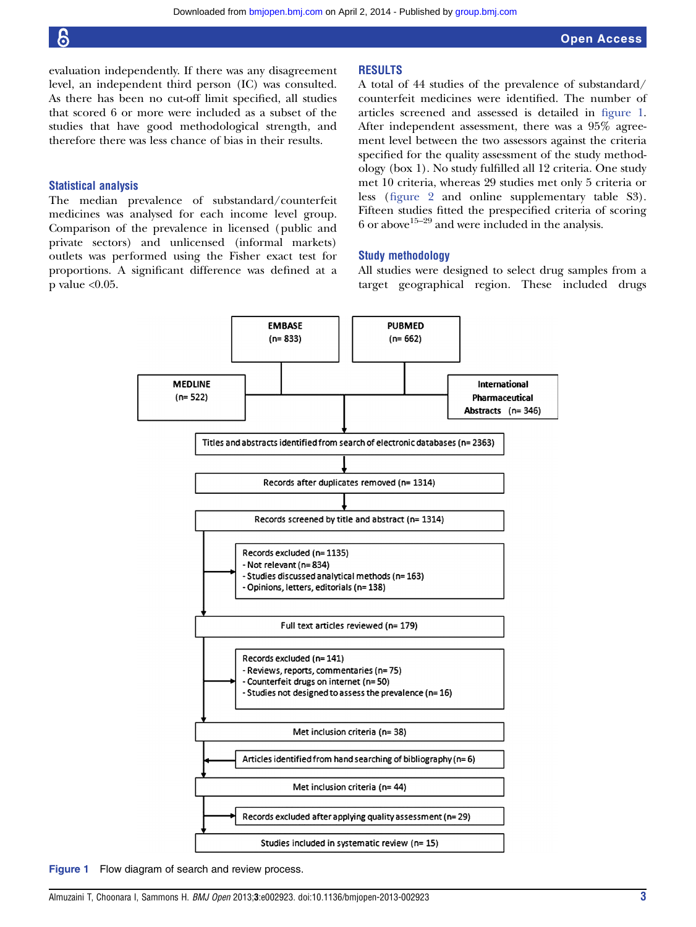evaluation independently. If there was any disagreement level, an independent third person (IC) was consulted. As there has been no cut-off limit specified, all studies that scored 6 or more were included as a subset of the studies that have good methodological strength, and therefore there was less chance of bias in their results.

# Statistical analysis

The median prevalence of substandard/counterfeit medicines was analysed for each income level group. Comparison of the prevalence in licensed (public and private sectors) and unlicensed (informal markets) outlets was performed using the Fisher exact test for proportions. A significant difference was defined at a p value  $< 0.05$ .

#### RESULTS

A total of 44 studies of the prevalence of substandard/ counterfeit medicines were identified. The number of articles screened and assessed is detailed in figure 1. After independent assessment, there was a 95% agreement level between the two assessors against the criteria specified for the quality assessment of the study methodology (box 1). No study fulfilled all 12 criteria. One study met 10 criteria, whereas 29 studies met only 5 criteria or less (figure 2 and online supplementary table S3). Fifteen studies fitted the prespecified criteria of scoring  $6$  or above<sup>15–29</sup> and were included in the analysis.

# Study methodology

All studies were designed to select drug samples from a target geographical region. These included drugs



Figure 1 Flow diagram of search and review process.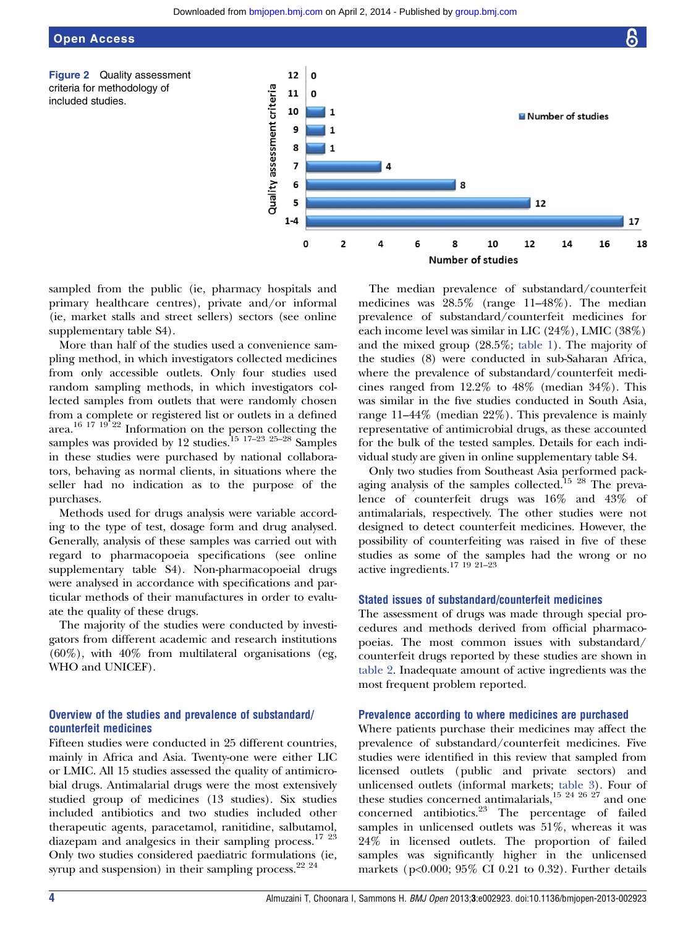# Open Access

Figure 2 Quality assessment criteria for methodology of included studies.



sampled from the public (ie, pharmacy hospitals and primary healthcare centres), private and/or informal (ie, market stalls and street sellers) sectors (see online [supplementary table](http://bmjopen.bmj.com/lookup/suppl/doi:10.1136/bmjopen-2013-002923/-/DC1) S4).

More than half of the studies used a convenience sampling method, in which investigators collected medicines from only accessible outlets. Only four studies used random sampling methods, in which investigators collected samples from outlets that were randomly chosen from a complete or registered list or outlets in a defined area.<sup>16 17 19</sup><sup>22</sup> Information on the person collecting the samples was provided by 12 studies. $15 \frac{15 \times 29}{15 \times 29 \times 29}$  Samples in these studies were purchased by national collaborators, behaving as normal clients, in situations where the seller had no indication as to the purpose of the purchases.

Methods used for drugs analysis were variable according to the type of test, dosage form and drug analysed. Generally, analysis of these samples was carried out with regard to pharmacopoeia specifications (see online [supplementary table](http://bmjopen.bmj.com/lookup/suppl/doi:10.1136/bmjopen-2013-002923/-/DC1) S4). Non-pharmacopoeial drugs were analysed in accordance with specifications and particular methods of their manufactures in order to evaluate the quality of these drugs.

The majority of the studies were conducted by investigators from different academic and research institutions  $(60\%)$ , with  $40\%$  from multilateral organisations (eg, WHO and UNICEF).

# Overview of the studies and prevalence of substandard/ counterfeit medicines

Fifteen studies were conducted in 25 different countries, mainly in Africa and Asia. Twenty-one were either LIC or LMIC. All 15 studies assessed the quality of antimicrobial drugs. Antimalarial drugs were the most extensively studied group of medicines (13 studies). Six studies included antibiotics and two studies included other therapeutic agents, paracetamol, ranitidine, salbutamol, diazepam and analgesics in their sampling process.<sup>17</sup><sup>23</sup> Only two studies considered paediatric formulations (ie, syrup and suspension) in their sampling process.  $22^{22}$ 

The median prevalence of substandard/counterfeit medicines was 28.5% (range 11–48%). The median prevalence of substandard/counterfeit medicines for each income level was similar in LIC (24%), LMIC (38%) and the mixed group (28.5%; table 1). The majority of the studies (8) were conducted in sub-Saharan Africa, where the prevalence of substandard/counterfeit medicines ranged from 12.2% to 48% (median 34%). This was similar in the five studies conducted in South Asia, range 11–44% (median 22%). This prevalence is mainly representative of antimicrobial drugs, as these accounted for the bulk of the tested samples. Details for each individual study are given in online [supplementary table](http://bmjopen.bmj.com/lookup/suppl/doi:10.1136/bmjopen-2013-002923/-/DC1) S4.

Only two studies from Southeast Asia performed packaging analysis of the samples collected.<sup>15</sup> <sup>28</sup> The prevalence of counterfeit drugs was 16% and 43% of antimalarials, respectively. The other studies were not designed to detect counterfeit medicines. However, the possibility of counterfeiting was raised in five of these studies as some of the samples had the wrong or no active ingredients.17 19 21–<sup>23</sup>

# Stated issues of substandard/counterfeit medicines

The assessment of drugs was made through special procedures and methods derived from official pharmacopoeias. The most common issues with substandard/ counterfeit drugs reported by these studies are shown in table 2. Inadequate amount of active ingredients was the most frequent problem reported.

#### Prevalence according to where medicines are purchased

Where patients purchase their medicines may affect the prevalence of substandard/counterfeit medicines. Five studies were identified in this review that sampled from licensed outlets (public and private sectors) and unlicensed outlets (informal markets; table 3). Four of these studies concerned antimalarials, $15^{24}$   $26^{27}$  and one concerned antibiotics.<sup>23</sup> The percentage of failed samples in unlicensed outlets was 51%, whereas it was 24% in licensed outlets. The proportion of failed samples was significantly higher in the unlicensed markets (p<0.000; 95% CI 0.21 to 0.32). Further details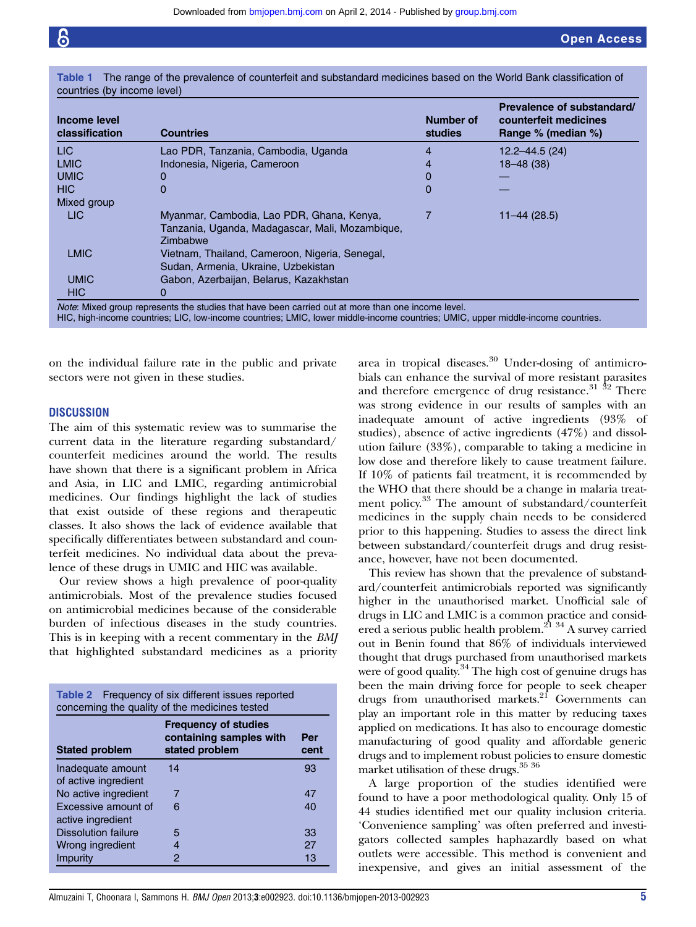Table 1 The range of the prevalence of counterfeit and substandard medicines based on the World Bank classification of countries (by income level)

| Income level<br>classification | <b>Countries</b>                                                                                         | Number of<br>studies | Prevalence of substandard/<br>counterfeit medicines<br>Range % (median %) |  |  |
|--------------------------------|----------------------------------------------------------------------------------------------------------|----------------------|---------------------------------------------------------------------------|--|--|
| LIC.                           | Lao PDR, Tanzania, Cambodia, Uganda                                                                      | 4                    | $12.2 - 44.5(24)$                                                         |  |  |
| <b>LMIC</b>                    | Indonesia, Nigeria, Cameroon                                                                             | 4                    | $18 - 48(38)$                                                             |  |  |
| <b>UMIC</b>                    | 0                                                                                                        | 0                    |                                                                           |  |  |
| <b>HIC</b>                     | $\Omega$                                                                                                 | 0                    |                                                                           |  |  |
| Mixed group                    |                                                                                                          |                      |                                                                           |  |  |
| LIC.                           | Myanmar, Cambodia, Lao PDR, Ghana, Kenya,<br>Tanzania, Uganda, Madagascar, Mali, Mozambigue,<br>Zimbabwe |                      | $11 - 44$ (28.5)                                                          |  |  |
| <b>LMIC</b>                    | Vietnam, Thailand, Cameroon, Nigeria, Senegal,<br>Sudan, Armenia, Ukraine, Uzbekistan                    |                      |                                                                           |  |  |
| <b>UMIC</b>                    | Gabon, Azerbaijan, Belarus, Kazakhstan                                                                   |                      |                                                                           |  |  |
| <b>HIC</b>                     |                                                                                                          |                      |                                                                           |  |  |

studies that have been carried out at more than one income

HIC, high-income countries; LIC, low-income countries; LMIC, lower middle-income countries; UMIC, upper middle-income countries.

on the individual failure rate in the public and private sectors were not given in these studies.

# **DISCUSSION**

The aim of this systematic review was to summarise the current data in the literature regarding substandard/ counterfeit medicines around the world. The results have shown that there is a significant problem in Africa and Asia, in LIC and LMIC, regarding antimicrobial medicines. Our findings highlight the lack of studies that exist outside of these regions and therapeutic classes. It also shows the lack of evidence available that specifically differentiates between substandard and counterfeit medicines. No individual data about the prevalence of these drugs in UMIC and HIC was available.

Our review shows a high prevalence of poor-quality antimicrobials. Most of the prevalence studies focused on antimicrobial medicines because of the considerable burden of infectious diseases in the study countries. This is in keeping with a recent commentary in the BMJ that highlighted substandard medicines as a priority

area in tropical diseases.<sup>30</sup> Under-dosing of antimicrobials can enhance the survival of more resistant parasites and therefore emergence of drug resistance.<sup>31</sup> <sup>32</sup> There was strong evidence in our results of samples with an inadequate amount of active ingredients (93% of studies), absence of active ingredients (47%) and dissolution failure (33%), comparable to taking a medicine in low dose and therefore likely to cause treatment failure. If 10% of patients fail treatment, it is recommended by the WHO that there should be a change in malaria treatment policy.<sup>33</sup> The amount of substandard/counterfeit medicines in the supply chain needs to be considered prior to this happening. Studies to assess the direct link between substandard/counterfeit drugs and drug resistance, however, have not been documented.

This review has shown that the prevalence of substandard/counterfeit antimicrobials reported was significantly higher in the unauthorised market. Unofficial sale of drugs in LIC and LMIC is a common practice and considered a serious public health problem.<sup>21</sup> <sup>34</sup> A survey carried out in Benin found that 86% of individuals interviewed thought that drugs purchased from unauthorised markets were of good quality.<sup>34</sup> The high cost of genuine drugs has been the main driving force for people to seek cheaper drugs from unauthorised markets.<sup>21</sup> Governments can play an important role in this matter by reducing taxes applied on medications. It has also to encourage domestic manufacturing of good quality and affordable generic drugs and to implement robust policies to ensure domestic market utilisation of these drugs.35 36

A large proportion of the studies identified were found to have a poor methodological quality. Only 15 of 44 studies identified met our quality inclusion criteria. 'Convenience sampling' was often preferred and investigators collected samples haphazardly based on what outlets were accessible. This method is convenient and inexpensive, and gives an initial assessment of the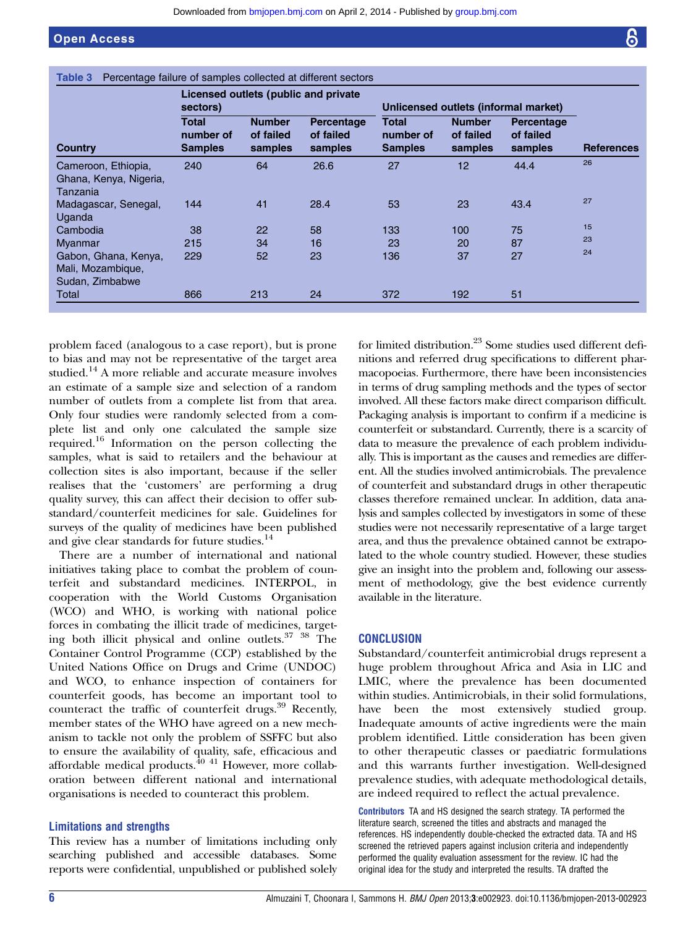# Open Access

|                                                              | sectors)                                    |                                       | Licensed outlets (public and private      | Unlicensed outlets (informal market)        |                                       |                                    |                   |
|--------------------------------------------------------------|---------------------------------------------|---------------------------------------|-------------------------------------------|---------------------------------------------|---------------------------------------|------------------------------------|-------------------|
| Country                                                      | <b>Total</b><br>number of<br><b>Samples</b> | <b>Number</b><br>of failed<br>samples | <b>Percentage</b><br>of failed<br>samples | <b>Total</b><br>number of<br><b>Samples</b> | <b>Number</b><br>of failed<br>samples | Percentage<br>of failed<br>samples | <b>References</b> |
| Cameroon, Ethiopia,<br>Ghana, Kenya, Nigeria,<br>Tanzania    | 240                                         | 64                                    | 26.6                                      | 27                                          | 12                                    | 44.4                               | 26                |
| Madagascar, Senegal,<br>Uganda                               | 144                                         | 41                                    | 28.4                                      | 53                                          | 23                                    | 43.4                               | 27                |
| Cambodia                                                     | 38                                          | 22                                    | 58                                        | 133                                         | 100                                   | 75                                 | 15                |
| Myanmar                                                      | 215                                         | 34                                    | 16                                        | 23                                          | 20                                    | 87                                 | 23                |
| Gabon, Ghana, Kenya,<br>Mali, Mozambique,<br>Sudan, Zimbabwe | 229                                         | 52                                    | 23                                        | 136                                         | 37                                    | 27                                 | 24                |
| Total                                                        | 866                                         | 213                                   | 24                                        | 372                                         | 192                                   | 51                                 |                   |

problem faced (analogous to a case report), but is prone to bias and may not be representative of the target area studied.<sup>14</sup> A more reliable and accurate measure involves an estimate of a sample size and selection of a random number of outlets from a complete list from that area. Only four studies were randomly selected from a complete list and only one calculated the sample size required.16 Information on the person collecting the samples, what is said to retailers and the behaviour at collection sites is also important, because if the seller realises that the 'customers' are performing a drug quality survey, this can affect their decision to offer substandard/counterfeit medicines for sale. Guidelines for surveys of the quality of medicines have been published and give clear standards for future studies.<sup>14</sup>

There are a number of international and national initiatives taking place to combat the problem of counterfeit and substandard medicines. INTERPOL, in cooperation with the World Customs Organisation (WCO) and WHO, is working with national police forces in combating the illicit trade of medicines, targeting both illicit physical and online outlets.37 38 The Container Control Programme (CCP) established by the United Nations Office on Drugs and Crime (UNDOC) and WCO, to enhance inspection of containers for counterfeit goods, has become an important tool to counteract the traffic of counterfeit drugs.<sup>39</sup> Recently, member states of the WHO have agreed on a new mechanism to tackle not only the problem of SSFFC but also to ensure the availability of quality, safe, efficacious and affordable medical products. $^{40}$  <sup>41</sup> However, more collaboration between different national and international organisations is needed to counteract this problem.

### Limitations and strengths

This review has a number of limitations including only searching published and accessible databases. Some reports were confidential, unpublished or published solely for limited distribution.<sup>23</sup> Some studies used different definitions and referred drug specifications to different pharmacopoeias. Furthermore, there have been inconsistencies in terms of drug sampling methods and the types of sector involved. All these factors make direct comparison difficult. Packaging analysis is important to confirm if a medicine is counterfeit or substandard. Currently, there is a scarcity of data to measure the prevalence of each problem individually. This is important as the causes and remedies are different. All the studies involved antimicrobials. The prevalence of counterfeit and substandard drugs in other therapeutic classes therefore remained unclear. In addition, data analysis and samples collected by investigators in some of these studies were not necessarily representative of a large target area, and thus the prevalence obtained cannot be extrapolated to the whole country studied. However, these studies give an insight into the problem and, following our assessment of methodology, give the best evidence currently available in the literature.

#### **CONCLUSION**

Substandard/counterfeit antimicrobial drugs represent a huge problem throughout Africa and Asia in LIC and LMIC, where the prevalence has been documented within studies. Antimicrobials, in their solid formulations, have been the most extensively studied group. Inadequate amounts of active ingredients were the main problem identified. Little consideration has been given to other therapeutic classes or paediatric formulations and this warrants further investigation. Well-designed prevalence studies, with adequate methodological details, are indeed required to reflect the actual prevalence.

Contributors TA and HS designed the search strategy. TA performed the literature search, screened the titles and abstracts and managed the references. HS independently double-checked the extracted data. TA and HS screened the retrieved papers against inclusion criteria and independently performed the quality evaluation assessment for the review. IC had the original idea for the study and interpreted the results. TA drafted the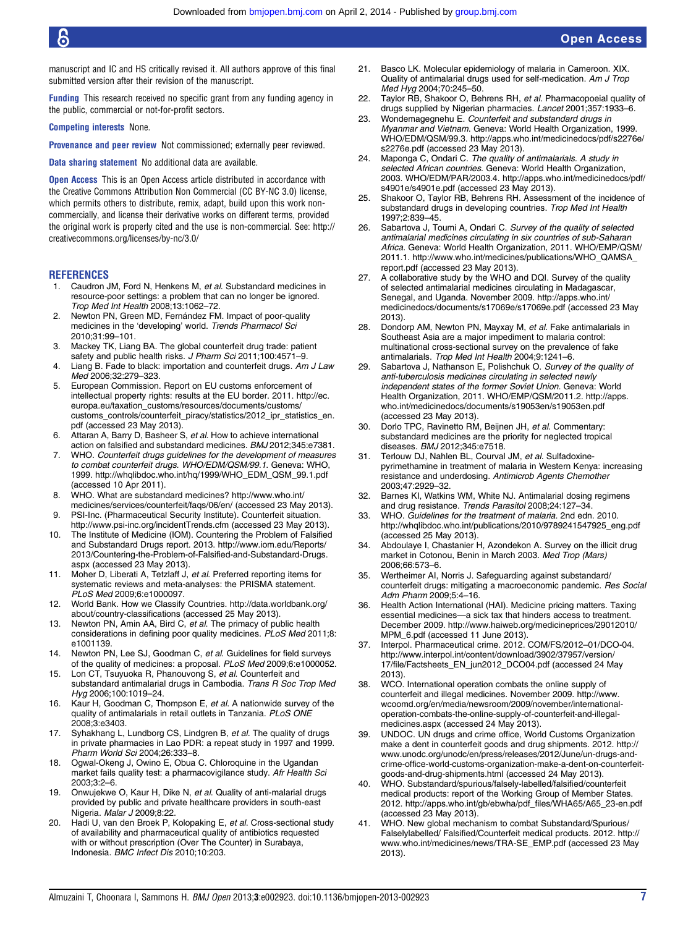manuscript and IC and HS critically revised it. All authors approve of this final submitted version after their revision of the manuscript.

Funding This research received no specific grant from any funding agency in the public, commercial or not-for-profit sectors.

Competing interests None.

Provenance and peer review Not commissioned; externally peer reviewed.

Data sharing statement No additional data are available.

**Open Access** This is an Open Access article distributed in accordance with the Creative Commons Attribution Non Commercial (CC BY-NC 3.0) license, which permits others to distribute, remix, adapt, build upon this work noncommercially, and license their derivative works on different terms, provided the original work is properly cited and the use is non-commercial. See: [http://](http://creativecommons.org/licenses/by-nc/3.0/) [creativecommons.org/licenses/by-nc/3.0/](http://creativecommons.org/licenses/by-nc/3.0/)

### **REFERENCES**

- 1. Caudron JM, Ford N, Henkens M, et al. Substandard medicines in resource-poor settings: a problem that can no longer be ignored. Trop Med Int Health 2008;13:1062–72.
- 2. Newton PN, Green MD, Fernández FM. Impact of poor-quality medicines in the 'developing' world. Trends Pharmacol Sci 2010;31:99–101.
- 3. Mackey TK, Liang BA. The global counterfeit drug trade: patient safety and public health risks. J Pharm Sci 2011;100:4571-9.
- 4. Liang B. Fade to black: importation and counterfeit drugs. Am J Law Med 2006;32:279–323.
- 5. European Commission. Report on EU customs enforcement of intellectual property rights: results at the EU border. 2011. [http://ec.](http://ec.europa.eu/taxation_customs/resources/documents/customs/customs_controls/counterfeit_piracy/statistics/2012_ipr_statistics_en.pdf) [europa.eu/taxation\\_customs/resources/documents/customs/](http://ec.europa.eu/taxation_customs/resources/documents/customs/customs_controls/counterfeit_piracy/statistics/2012_ipr_statistics_en.pdf) [customs\\_controls/counterfeit\\_piracy/statistics/2012\\_ipr\\_statistics\\_en.](http://ec.europa.eu/taxation_customs/resources/documents/customs/customs_controls/counterfeit_piracy/statistics/2012_ipr_statistics_en.pdf) [pdf](http://ec.europa.eu/taxation_customs/resources/documents/customs/customs_controls/counterfeit_piracy/statistics/2012_ipr_statistics_en.pdf) (accessed 23 May 2013).
- 6. Attaran A, Barry D, Basheer S, et al. How to achieve international action on falsified and substandard medicines. BMJ 2012;345:e7381.
- 7. WHO. Counterfeit drugs guidelines for the development of measures to combat counterfeit drugs. WHO/EDM/QSM/99.1. Geneva: WHO, 1999. [http://whqlibdoc.who.int/hq/1999/WHO\\_EDM\\_QSM\\_99.1.pdf](http://whqlibdoc.who.int/hq/1999/WHO_EDM_QSM_99.1.pdf) (accessed 10 Apr 2011).
- 8. WHO. What are substandard medicines? [http://www.who.int/](http://www.who.int/medicines/services/counterfeit/faqs/06/en/) [medicines/services/counterfeit/faqs/06/en/](http://www.who.int/medicines/services/counterfeit/faqs/06/en/) (accessed 23 May 2013). 9. PSI-Inc. (Pharmaceutical Security Institute). Counterfeit situation.
- <http://www.psi-inc.org/incidentTrends.cfm> (accessed 23 May 2013).
- 10. The Institute of Medicine (IOM). Countering the Problem of Falsified and Substandard Drugs report. 2013. [http://www.iom.edu/Reports/](http://www.iom.edu/Reports/2013/Countering-the-Problem-of-Falsified-and-Substandard-Drugs.aspx) [2013/Countering-the-Problem-of-Falsified-and-Substandard-Drugs.](http://www.iom.edu/Reports/2013/Countering-the-Problem-of-Falsified-and-Substandard-Drugs.aspx) [aspx](http://www.iom.edu/Reports/2013/Countering-the-Problem-of-Falsified-and-Substandard-Drugs.aspx) (accessed 23 May 2013).
- 11. Moher D, Liberati A, Tetzlaff J, et al. Preferred reporting items for systematic reviews and meta-analyses: the PRISMA statement. PLoS Med 2009;6:e1000097.
- 12. World Bank. How we Classify Countries. [http://data.worldbank.org/](http://data.worldbank.org/about/country-classifications) [about/country-classifications](http://data.worldbank.org/about/country-classifications) (accessed 25 May 2013).
- 13. Newton PN, Amin AA, Bird C, et al. The primacy of public health considerations in defining poor quality medicines. PLoS Med 2011;8: e1001139.
- 14. Newton PN, Lee SJ, Goodman C, et al. Guidelines for field surveys of the quality of medicines: a proposal. PLoS Med 2009;6:e1000052.
- 15. Lon CT, Tsuyuoka R, Phanouvong S, et al. Counterfeit and substandard antimalarial drugs in Cambodia. Trans R Soc Trop Med Hyg 2006;100:1019–24.
- 16. Kaur H, Goodman C, Thompson E, et al. A nationwide survey of the quality of antimalarials in retail outlets in Tanzania. PLoS ONE 2008;3:e3403.
- 17. Syhakhang L, Lundborg CS, Lindgren B, et al. The quality of drugs in private pharmacies in Lao PDR: a repeat study in 1997 and 1999. Pharm World Sci 2004;26:333–8.
- 18. Ogwal-Okeng J, Owino E, Obua C. Chloroquine in the Ugandan market fails quality test: a pharmacovigilance study. Afr Health Sci 2003;3:2–6.
- 19. Onwujekwe O, Kaur H, Dike N, et al. Quality of anti-malarial drugs provided by public and private healthcare providers in south-east Nigeria. Malar J 2009;8:22.
- 20. Hadi U, van den Broek P, Kolopaking E, et al. Cross-sectional study of availability and pharmaceutical quality of antibiotics requested with or without prescription (Over The Counter) in Surabaya, Indonesia. BMC Infect Dis 2010;10:203.
- 21. Basco LK. Molecular epidemiology of malaria in Cameroon. XIX. Quality of antimalarial drugs used for self-medication. Am J Trop Med Hyg 2004;70:245–50.
- 22. Taylor RB, Shakoor O, Behrens RH, et al. Pharmacopoeial quality of drugs supplied by Nigerian pharmacies. Lancet 2001;357:1933–6.
- 23. Wondemagegnehu E. Counterfeit and substandard drugs in Myanmar and Vietnam. Geneva: World Health Organization, 1999. WHO/EDM/QSM/99.3. [http://apps.who.int/medicinedocs/pdf/s2276e/](http://apps.who.int/medicinedocs/pdf/s2276e/s2276e.pdf) [s2276e.pdf](http://apps.who.int/medicinedocs/pdf/s2276e/s2276e.pdf) (accessed 23 May 2013).
- 24. Maponga C, Ondari C. The quality of antimalarials. A study in selected African countries. Geneva: World Health Organization, 2003. WHO/EDM/PAR/2003.4. [http://apps.who.int/medicinedocs/pdf/](http://apps.who.int/medicinedocs/pdf/s4901e/s4901e.pdf) [s4901e/s4901e.pdf](http://apps.who.int/medicinedocs/pdf/s4901e/s4901e.pdf) (accessed 23 May 2013).
- 25. Shakoor O, Taylor RB, Behrens RH. Assessment of the incidence of substandard drugs in developing countries. Trop Med Int Health 1997;2:839–45.
- 26. Sabartova J, Toumi A, Ondari C. Survey of the quality of selected antimalarial medicines circulating in six countries of sub-Saharan Africa. Geneva: World Health Organization, 2011. WHO/EMP/QSM/ 2011.1. [http://www.who.int/medicines/publications/WHO\\_QAMSA\\_](http://www.who.int/medicines/publications/WHO_QAMSA_report.pdf) [report.pdf](http://www.who.int/medicines/publications/WHO_QAMSA_report.pdf) (accessed 23 May 2013).
- 27. A collaborative study by the WHO and DQI. Survey of the quality of selected antimalarial medicines circulating in Madagascar, Senegal, and Uganda. November 2009. [http://apps.who.int/](http://apps.who.int/medicinedocs/documents/s17069e/s17069e.pdf) [medicinedocs/documents/s17069e/s17069e.pdf](http://apps.who.int/medicinedocs/documents/s17069e/s17069e.pdf) (accessed 23 May 2013).
- 28. Dondorp AM, Newton PN, Mayxay M, et al. Fake antimalarials in Southeast Asia are a major impediment to malaria control: multinational cross-sectional survey on the prevalence of fake antimalarials. Trop Med Int Health 2004;9:1241–6.
- Sabartova J, Nathanson E, Polishchuk O. Survey of the quality of anti-tuberculosis medicines circulating in selected newly independent states of the former Soviet Union. Geneva: World Health Organization, 2011. WHO/EMP/QSM/2011.2. [http://apps.](http://apps.who.int/medicinedocs/documents/s19053en/s19053en.pdf) [who.int/medicinedocs/documents/s19053en/s19053en.pdf](http://apps.who.int/medicinedocs/documents/s19053en/s19053en.pdf) (accessed 23 May 2013).
- 30. Dorlo TPC, Ravinetto RM, Beijnen JH, et al. Commentary: substandard medicines are the priority for neglected tropical diseases. BMJ 2012;345:e7518.
- 31. Terlouw DJ, Nahlen BL, Courval JM, et al. Sulfadoxinepyrimethamine in treatment of malaria in Western Kenya: increasing resistance and underdosing. Antimicrob Agents Chemother 2003;47:2929–32.
- 32. Barnes KI, Watkins WM, White NJ. Antimalarial dosing regimens and drug resistance. Trends Parasitol 2008;24:127–34.
- WHO. Guidelines for the treatment of malaria. 2nd edn. 2010. [http://whqlibdoc.who.int/publications/2010/9789241547925\\_eng.pdf](http://whqlibdoc.who.int/publications/2010/9789241547925_eng.pdf) (accessed 25 May 2013).
- 34. Abdoulaye I, Chastanier H, Azondekon A. Survey on the illicit drug market in Cotonou, Benin in March 2003. Med Trop (Mars) 2006;66:573–6.
- 35. Wertheimer AI, Norris J. Safeguarding against substandard/ counterfeit drugs: mitigating a macroeconomic pandemic. Res Social Adm Pharm 2009;5:4–16.
- 36. Health Action International (HAI). Medicine pricing matters. Taxing essential medicines—a sick tax that hinders access to treatment. December 2009. [http://www.haiweb.org/medicineprices/29012010/](http://www.haiweb.org/medicineprices/29012010/MPM_6.pdf) [MPM\\_6.pdf](http://www.haiweb.org/medicineprices/29012010/MPM_6.pdf) (accessed 11 June 2013).
- 37. Interpol. Pharmaceutical crime. 2012. COM/FS/2012–01/DCO-04. [http://www.interpol.int/content/download/3902/37957/version/](http://www.interpol.int/content/download/3902/37957/version/17/file/Factsheets_EN_jun2012_DCO04.pdf) [17/file/Factsheets\\_EN\\_jun2012\\_DCO04.pdf](http://www.interpol.int/content/download/3902/37957/version/17/file/Factsheets_EN_jun2012_DCO04.pdf) (accessed 24 May 2013).
- 38. WCO. International operation combats the online supply of counterfeit and illegal medicines. November 2009. [http://www.](http://www.wcoomd.org/en/media/newsroom/2009/november/international-operation-combats-the-online-supply-of-counterfeit-and-illegal-medicines.aspx) [wcoomd.org/en/media/newsroom/2009/november/international](http://www.wcoomd.org/en/media/newsroom/2009/november/international-operation-combats-the-online-supply-of-counterfeit-and-illegal-medicines.aspx)[operation-combats-the-online-supply-of-counterfeit-and-illegal](http://www.wcoomd.org/en/media/newsroom/2009/november/international-operation-combats-the-online-supply-of-counterfeit-and-illegal-medicines.aspx)[medicines.aspx](http://www.wcoomd.org/en/media/newsroom/2009/november/international-operation-combats-the-online-supply-of-counterfeit-and-illegal-medicines.aspx) (accessed 24 May 2013).
- 39. UNDOC. UN drugs and crime office, World Customs Organization make a dent in counterfeit goods and drug shipments. 2012. [http://](http://www.unodc.org/unodc/en/press/releases/2012/June/un-drugs-and-crime-office-world-customs-organization-make-a-dent-on-counterfeit-goods-and-drug-shipments.html) [www.unodc.org/unodc/en/press/releases/2012/June/un-drugs-and](http://www.unodc.org/unodc/en/press/releases/2012/June/un-drugs-and-crime-office-world-customs-organization-make-a-dent-on-counterfeit-goods-and-drug-shipments.html)[crime-office-world-customs-organization-make-a-dent-on-counterfeit](http://www.unodc.org/unodc/en/press/releases/2012/June/un-drugs-and-crime-office-world-customs-organization-make-a-dent-on-counterfeit-goods-and-drug-shipments.html)[goods-and-drug-shipments.html](http://www.unodc.org/unodc/en/press/releases/2012/June/un-drugs-and-crime-office-world-customs-organization-make-a-dent-on-counterfeit-goods-and-drug-shipments.html) (accessed 24 May 2013).
- 40. WHO. Substandard/spurious/falsely-labelled/falsified/counterfeit medical products: report of the Working Group of Member States. 2012. [http://apps.who.int/gb/ebwha/pdf\\_files/WHA65/A65\\_23-en.pdf](http://apps.who.int/gb/ebwha/pdf_files/WHA65/A65_23-en.pdf) (accessed 23 May 2013).
- 41. WHO. New global mechanism to combat Substandard/Spurious/ Falselylabelled/ Falsified/Counterfeit medical products. 2012. [http://](http://www.who.int/medicines/news/TRA-SE_EMP.pdf) [www.who.int/medicines/news/TRA-SE\\_EMP.pdf](http://www.who.int/medicines/news/TRA-SE_EMP.pdf) (accessed 23 May 2013).